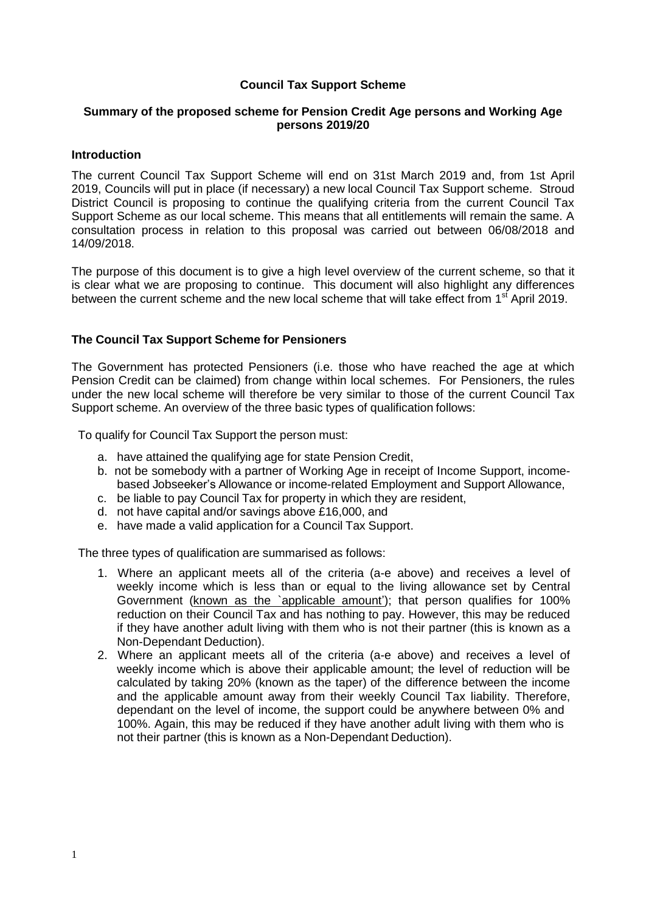## **Council Tax Support Scheme**

## **Summary of the proposed scheme for Pension Credit Age persons and Working Age persons 2019/20**

### **Introduction**

The current Council Tax Support Scheme will end on 31st March 2019 and, from 1st April 2019, Councils will put in place (if necessary) a new local Council Tax Support scheme. Stroud District Council is proposing to continue the qualifying criteria from the current Council Tax Support Scheme as our local scheme. This means that all entitlements will remain the same. A consultation process in relation to this proposal was carried out between 06/08/2018 and 14/09/2018.

The purpose of this document is to give a high level overview of the current scheme, so that it is clear what we are proposing to continue. This document will also highlight any differences between the current scheme and the new local scheme that will take effect from 1<sup>st</sup> April 2019.

## **The Council Tax Support Scheme for Pensioners**

The Government has protected Pensioners (i.e. those who have reached the age at which Pension Credit can be claimed) from change within local schemes. For Pensioners, the rules under the new local scheme will therefore be very similar to those of the current Council Tax Support scheme. An overview of the three basic types of qualification follows:

To qualify for Council Tax Support the person must:

- a. have attained the qualifying age for state Pension Credit,
- b. not be somebody with a partner of Working Age in receipt of Income Support, incomebased Jobseeker's Allowance or income-related Employment and Support Allowance,
- c. be liable to pay Council Tax for property in which they are resident,
- d. not have capital and/or savings above £16,000, and
- e. have made a valid application for a Council Tax Support.

The three types of qualification are summarised as follows:

- 1. Where an applicant meets all of the criteria (a-e above) and receives a level of weekly income which is less than or equal to the living allowance set by Central Government (known as the `applicable amount'); that person qualifies for 100% reduction on their Council Tax and has nothing to pay. However, this may be reduced if they have another adult living with them who is not their partner (this is known as a Non-Dependant Deduction).
- 2. Where an applicant meets all of the criteria (a-e above) and receives a level of weekly income which is above their applicable amount; the level of reduction will be calculated by taking 20% (known as the taper) of the difference between the income and the applicable amount away from their weekly Council Tax liability. Therefore, dependant on the level of income, the support could be anywhere between 0% and 100%. Again, this may be reduced if they have another adult living with them who is not their partner (this is known as a Non-Dependant Deduction).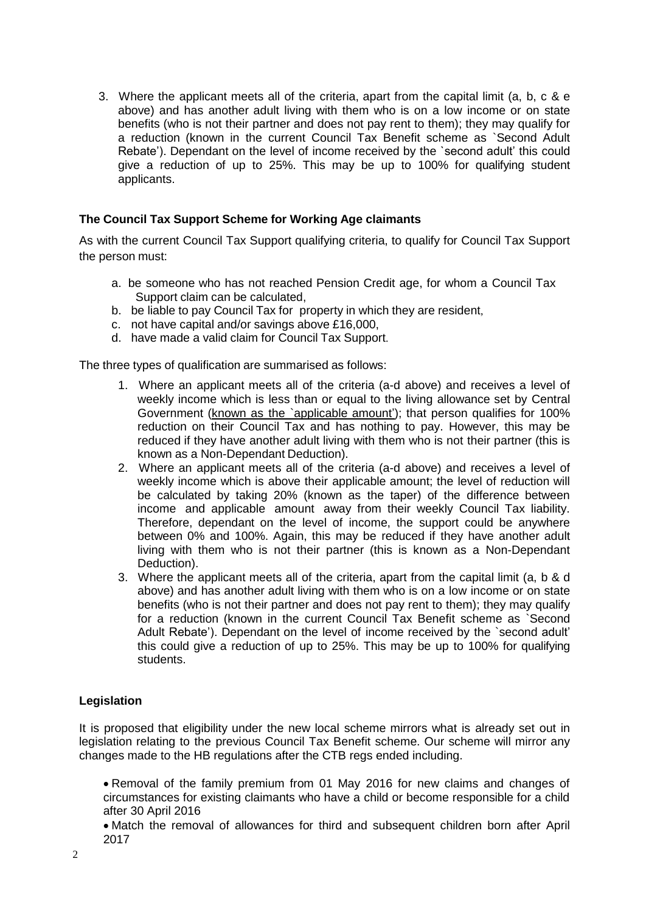3. Where the applicant meets all of the criteria, apart from the capital limit (a, b, c & e above) and has another adult living with them who is on a low income or on state benefits (who is not their partner and does not pay rent to them); they may qualify for a reduction (known in the current Council Tax Benefit scheme as `Second Adult Rebate'). Dependant on the level of income received by the `second adult' this could give a reduction of up to 25%. This may be up to 100% for qualifying student applicants.

## **The Council Tax Support Scheme for Working Age claimants**

As with the current Council Tax Support qualifying criteria, to qualify for Council Tax Support the person must:

- a. be someone who has not reached Pension Credit age, for whom a Council Tax Support claim can be calculated,
- b. be liable to pay Council Tax for property in which they are resident,
- c. not have capital and/or savings above £16,000,
- d. have made a valid claim for Council Tax Support.

The three types of qualification are summarised as follows:

- 1. Where an applicant meets all of the criteria (a-d above) and receives a level of weekly income which is less than or equal to the living allowance set by Central Government (known as the `applicable amount'); that person qualifies for 100% reduction on their Council Tax and has nothing to pay. However, this may be reduced if they have another adult living with them who is not their partner (this is known as a Non-Dependant Deduction).
- 2. Where an applicant meets all of the criteria (a-d above) and receives a level of weekly income which is above their applicable amount; the level of reduction will be calculated by taking 20% (known as the taper) of the difference between income and applicable amount away from their weekly Council Tax liability. Therefore, dependant on the level of income, the support could be anywhere between 0% and 100%. Again, this may be reduced if they have another adult living with them who is not their partner (this is known as a Non-Dependant Deduction).
- 3. Where the applicant meets all of the criteria, apart from the capital limit (a, b & d above) and has another adult living with them who is on a low income or on state benefits (who is not their partner and does not pay rent to them); they may qualify for a reduction (known in the current Council Tax Benefit scheme as `Second Adult Rebate'). Dependant on the level of income received by the `second adult' this could give a reduction of up to 25%. This may be up to 100% for qualifying students.

# **Legislation**

It is proposed that eligibility under the new local scheme mirrors what is already set out in legislation relating to the previous Council Tax Benefit scheme. Our scheme will mirror any changes made to the HB regulations after the CTB regs ended including.

 Removal of the family premium from 01 May 2016 for new claims and changes of circumstances for existing claimants who have a child or become responsible for a child after 30 April 2016

 Match the removal of allowances for third and subsequent children born after April 2017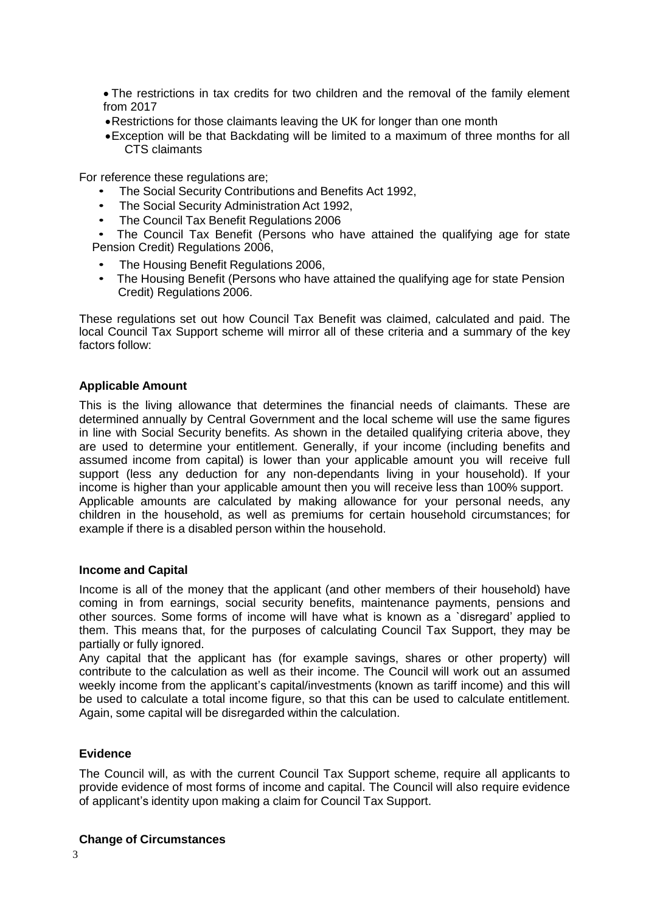The restrictions in tax credits for two children and the removal of the family element from 2017

- Restrictions for those claimants leaving the UK for longer than one month
- Exception will be that Backdating will be limited to a maximum of three months for all CTS claimants

For reference these regulations are;

- The Social Security Contributions and Benefits Act 1992,
- The Social Security Administration Act 1992,
- The Council Tax Benefit Regulations 2006

 • The Council Tax Benefit (Persons who have attained the qualifying age for state Pension Credit) Regulations 2006,

- The Housing Benefit Regulations 2006,
- The Housing Benefit (Persons who have attained the qualifying age for state Pension Credit) Regulations 2006.

These regulations set out how Council Tax Benefit was claimed, calculated and paid. The local Council Tax Support scheme will mirror all of these criteria and a summary of the key factors follow:

#### **Applicable Amount**

This is the living allowance that determines the financial needs of claimants. These are determined annually by Central Government and the local scheme will use the same figures in line with Social Security benefits. As shown in the detailed qualifying criteria above, they are used to determine your entitlement. Generally, if your income (including benefits and assumed income from capital) is lower than your applicable amount you will receive full support (less any deduction for any non-dependants living in your household). If your income is higher than your applicable amount then you will receive less than 100% support. Applicable amounts are calculated by making allowance for your personal needs, any children in the household, as well as premiums for certain household circumstances; for example if there is a disabled person within the household.

#### **Income and Capital**

Income is all of the money that the applicant (and other members of their household) have coming in from earnings, social security benefits, maintenance payments, pensions and other sources. Some forms of income will have what is known as a `disregard' applied to them. This means that, for the purposes of calculating Council Tax Support, they may be partially or fully ignored.

Any capital that the applicant has (for example savings, shares or other property) will contribute to the calculation as well as their income. The Council will work out an assumed weekly income from the applicant's capital/investments (known as tariff income) and this will be used to calculate a total income figure, so that this can be used to calculate entitlement. Again, some capital will be disregarded within the calculation.

### **Evidence**

The Council will, as with the current Council Tax Support scheme, require all applicants to provide evidence of most forms of income and capital. The Council will also require evidence of applicant's identity upon making a claim for Council Tax Support.

#### **Change of Circumstances**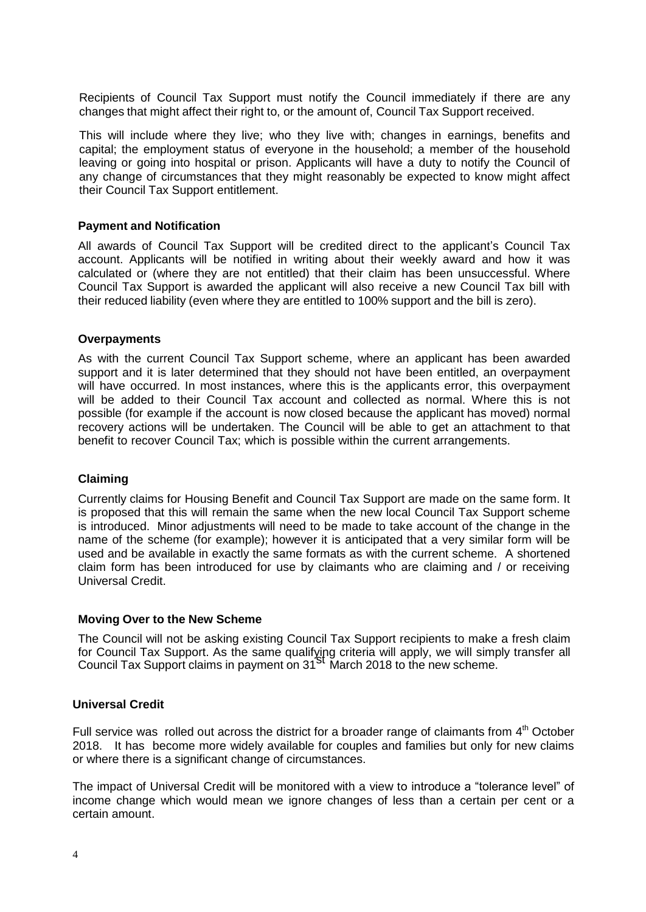Recipients of Council Tax Support must notify the Council immediately if there are any changes that might affect their right to, or the amount of, Council Tax Support received.

This will include where they live; who they live with; changes in earnings, benefits and capital; the employment status of everyone in the household; a member of the household leaving or going into hospital or prison. Applicants will have a duty to notify the Council of any change of circumstances that they might reasonably be expected to know might affect their Council Tax Support entitlement.

### **Payment and Notification**

All awards of Council Tax Support will be credited direct to the applicant's Council Tax account. Applicants will be notified in writing about their weekly award and how it was calculated or (where they are not entitled) that their claim has been unsuccessful. Where Council Tax Support is awarded the applicant will also receive a new Council Tax bill with their reduced liability (even where they are entitled to 100% support and the bill is zero).

#### **Overpayments**

As with the current Council Tax Support scheme, where an applicant has been awarded support and it is later determined that they should not have been entitled, an overpayment will have occurred. In most instances, where this is the applicants error, this overpayment will be added to their Council Tax account and collected as normal. Where this is not possible (for example if the account is now closed because the applicant has moved) normal recovery actions will be undertaken. The Council will be able to get an attachment to that benefit to recover Council Tax; which is possible within the current arrangements.

## **Claiming**

Currently claims for Housing Benefit and Council Tax Support are made on the same form. It is proposed that this will remain the same when the new local Council Tax Support scheme is introduced. Minor adjustments will need to be made to take account of the change in the name of the scheme (for example); however it is anticipated that a very similar form will be used and be available in exactly the same formats as with the current scheme. A shortened claim form has been introduced for use by claimants who are claiming and / or receiving Universal Credit.

#### **Moving Over to the New Scheme**

The Council will not be asking existing Council Tax Support recipients to make a fresh claim for Council Tax Support. As the same qualifying criteria will apply, we will simply transfer all<br>Council Tax Support claims in payment on 31<sup>St</sup> March 2018 to the new scheme.

## **Universal Credit**

Full service was rolled out across the district for a broader range of claimants from  $4<sup>th</sup>$  October 2018. It has become more widely available for couples and families but only for new claims or where there is a significant change of circumstances.

The impact of Universal Credit will be monitored with a view to introduce a "tolerance level" of income change which would mean we ignore changes of less than a certain per cent or a certain amount.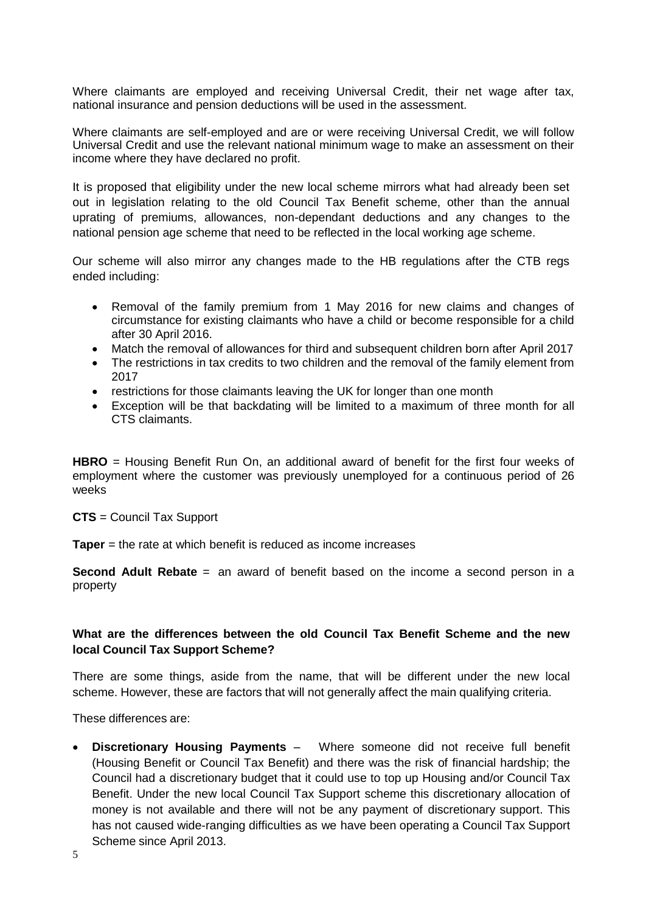Where claimants are employed and receiving Universal Credit, their net wage after tax, national insurance and pension deductions will be used in the assessment.

Where claimants are self-employed and are or were receiving Universal Credit, we will follow Universal Credit and use the relevant national minimum wage to make an assessment on their income where they have declared no profit.

It is proposed that eligibility under the new local scheme mirrors what had already been set out in legislation relating to the old Council Tax Benefit scheme, other than the annual uprating of premiums, allowances, non-dependant deductions and any changes to the national pension age scheme that need to be reflected in the local working age scheme.

Our scheme will also mirror any changes made to the HB regulations after the CTB regs ended including:

- Removal of the family premium from 1 May 2016 for new claims and changes of circumstance for existing claimants who have a child or become responsible for a child after 30 April 2016.
- Match the removal of allowances for third and subsequent children born after April 2017
- The restrictions in tax credits to two children and the removal of the family element from 2017
- restrictions for those claimants leaving the UK for longer than one month
- Exception will be that backdating will be limited to a maximum of three month for all CTS claimants.

**HBRO** = Housing Benefit Run On, an additional award of benefit for the first four weeks of employment where the customer was previously unemployed for a continuous period of 26 weeks

#### **CTS** = Council Tax Support

**Taper** = the rate at which benefit is reduced as income increases

**Second Adult Rebate** = an award of benefit based on the income a second person in a property

## **What are the differences between the old Council Tax Benefit Scheme and the new local Council Tax Support Scheme?**

There are some things, aside from the name, that will be different under the new local scheme. However, these are factors that will not generally affect the main qualifying criteria.

These differences are:

 **Discretionary Housing Payments** – Where someone did not receive full benefit (Housing Benefit or Council Tax Benefit) and there was the risk of financial hardship; the Council had a discretionary budget that it could use to top up Housing and/or Council Tax Benefit. Under the new local Council Tax Support scheme this discretionary allocation of money is not available and there will not be any payment of discretionary support. This has not caused wide-ranging difficulties as we have been operating a Council Tax Support Scheme since April 2013.